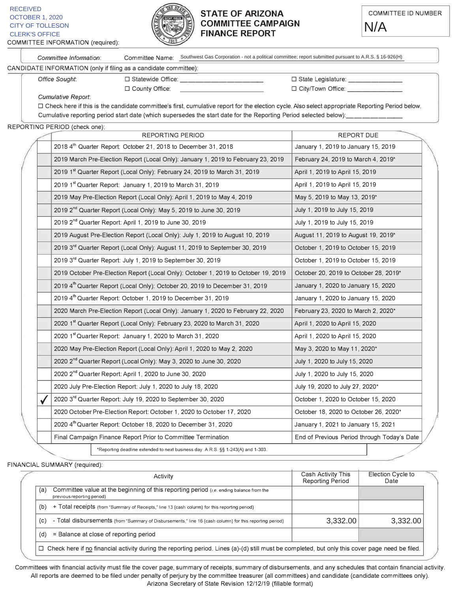

## **STATE OF ARIZONA COMMITTEE CAMPAIGN FINANCE REPORT** CITY OF TOLLESON **COMMITTEE CAMPAIGN N/A**<br>CLERK'S OFFICE **N/A FINANCE REPORT**



-

Committee Inf formation: Committee Name: Southwest Gas Corporation - not a political committee; report submitted pursuant to A.R.S. § 16-926(H) CANDIDATE INFORMATION (only if filing as a candidate committee):  &C/C3F823J"5813J\*\*\*\*\*\*\*\*\*\*J+ &C/C3J368B;/CDA3J,\*\*\*\*\*J-  $\Box$  County Office:  $\Box$  City/Town Office: Cumulative Report:  $\Box$  Check here if this is the candidate committee's first, cumulative report for the election cycle. Also select appropriate Reporting Period below. Cumulative reporting period start date (which supersedes the start date for the Reporting Period selected below):\_\_\_\_\_\_\_\_\_\_\_\_ REPORTING PERIOD (check one): REPORTING PERIOD REPORT DUE

| 2018 4th Quarter Report: October 21, 2018 to December 31, 2018                     | January 1, 2019 to January 15, 2019  |
|------------------------------------------------------------------------------------|--------------------------------------|
| 2019 March Pre-Election Report (Local Only): January 1, 2019 to February 23, 2019  | February 24, 2019 to March 4, 2019*  |
| 2019 1st Quarter Report (Local Only): February 24, 2019 to March 31, 2019          | April 1, 2019 to April 15, 2019      |
| 2019 1st Quarter Report: January 1, 2019 to March 31, 2019                         | April 1, 2019 to April 15, 2019      |
| 2019 May Pre-Election Report (Local Only): April 1, 2019 to May 4, 2019            | May 5, 2019 to May 13, 2019*         |
| 2019 2 <sup>nd</sup> Quarter Report (Local Only): May 5, 2019 to June 30, 2019     | July 1, 2019 to July 15, 2019        |
| 2019 2 <sup>nd</sup> Quarter Report: April 1, 2019 to June 30, 2019                | July 1, 2019 to July 15, 2019        |
| 2019 August Pre-Election Report (Local Only): July 1, 2019 to August 10, 2019      | August 11, 2019 to August 19, 2019*  |
| 2019 3rd Quarter Report (Local Only): August 11, 2019 to September 30, 2019        | October 1, 2019 to October 15, 2019  |
| 2019 3rd Quarter Report: July 1, 2019 to September 30, 2019                        | October 1, 2019 to October 15, 2019  |
| 2019 October Pre-Election Report (Local Only): October 1, 2019 to October 19, 2019 | October 20, 2019 to October 28, 2019 |
| 2019 4th Quarter Report (Local Only): October 20, 2019 to December 31, 2019        | January 1, 2020 to January 15, 2020  |
| 2019 4 <sup>th</sup> Quarter Report: October 1, 2019 to December 31, 2019          | January 1, 2020 to January 15, 2020  |
| 2020 March Pre-Election Report (Local Only): January 1, 2020 to February 22, 2020  | February 23, 2020 to March 2, 2020*  |
| 2020 1st Quarter Report (Local Only): February 23, 2020 to March 31, 2020          | April 1, 2020 to April 15, 2020      |
| 2020 1st Quarter Report: January 1, 2020 to March 31, 2020                         | April 1, 2020 to April 15, 2020      |
|                                                                                    |                                      |

19 to July 15, 2019 19 | July 1, 20 19 to July 15, 2019 19 | August 11, 2019 to August 19, 2019<sup>\*</sup> 19  $\vert$  October 1, 2019 to October 15, 2019 J "1C>03AJJ  19 to October 15, 2019 19 | October 20, 2019 to October 28, 2019 $*$ 19 | January 1, 2020 to January 15, 2020 19 | January 1, 2020 to January 15, 2020 | February 23, 2020 to March 2, 2020\* J 20 | April 1, 20 20 to April 15, 2020 ?A8;JJ 20 to April 15, 2020 2020 May Pre-Election Report (Local Only): April 1, 2020 to May 2, 2020  $\blacksquare$  May 3, 2020 to May 11, 2020\* 2020 2<sup>nd</sup> Quarter Report (Local Only): May 3, 2020 to June 30, 2020 D;GJJ  JC>JD;GJJ  J 2020 2<sup>nd</sup> Quarter Report: April 1, 2020 to June 30, 2020 D;GJJ  JC>JD;GJJ   J 2020 July Pre-Election Report: July 1, 2020 to July 18, 2020  $\vert$  July 19, 2020 to July 27, 2020\* 2020 3<sup>rd</sup> Quarter Report: July 19, 2020 to September 30, 2020 0 (October 1, 2020 to October 15, 2020) 2020 October Pre-Election Report: October 1, 2020 to October 17, 2020 | October 18, 2020 to October 26, 2020\* 2020 4<sup>th</sup> Quarter Report: October 18, 2020 to December 31, 2020 | January 1, 2021 to January 15, 2021 Substantive-Lietution Report: October 18, 2020 to December 31, 2020<br>2020 4<sup>th</sup> Quarter Report: October 18, 2020 to December 31, 2020<br>Final Campaign Finance Report Prior to Committee Termination<br>**End of Previous Period thro** ✔

-FINANCIAL SUMMARY (required):

Examplays matrice report more committed to<br>
\*Reporting deadline extended to next business day.

| Activity                                                                                                                                               | Cash Activity This<br><b>Reporting Period</b> | Election Cycle to<br>Date |  |
|--------------------------------------------------------------------------------------------------------------------------------------------------------|-----------------------------------------------|---------------------------|--|
| Committee value at the beginning of this reporting period ( <i>i.e.</i> ending balance from the<br>(a)<br>previous reporting period)                   |                                               |                           |  |
| + Total receipts (from "Summary of Receipts," line 13 (cash column) for this reporting period)<br>(b)                                                  |                                               |                           |  |
| - Total disbursements (from "Summary of Disbursements," line 16 (cash column) for this reporting period)<br>(c)                                        | 3.332.00                                      | 3.332.00                  |  |
| = Balance at close of reporting period<br>(d)                                                                                                          |                                               |                           |  |
| $\Box$ Check here if no financial activity during the reporting period. Lines (a)-(d) still must be completed, but only this cover page need be filed. |                                               |                           |  |

A.R.S.  $\S$  1-243(A) and 1-303.

Committees with financial activity must file the cover page, summary of receipts, summary of disbursements, and any schedules that contain financial activity. All reports are deemed to be filed under penalty of perjury by the committee treasurer (all committees) and candidate (candidate committees only). Arizona Secretary of State Revision 12/12/19 (fillable format)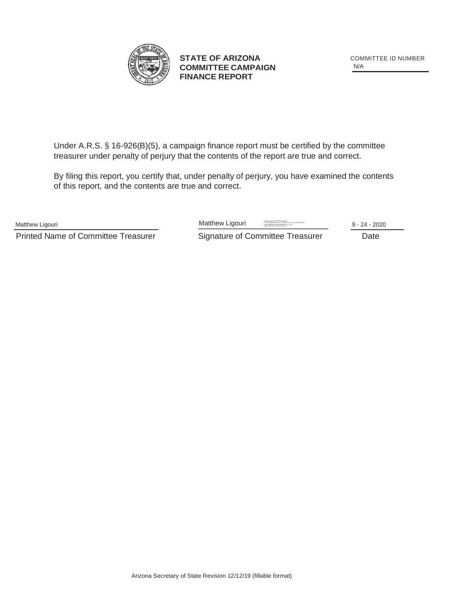

**STATE OF ARIZONA** COMMITTEE ID NUMBER **COMMITTEE CAMPAIGN FINANCE REPORT**

N/A

Under A.R.S. § 16-926(B)(5), a campaign finance report must be certified by the committee treasurer under penalty of perjury that the contents of the report are true and correct.

By filing this report, you certify that, under penalty of perjury, you have examined the contents of this report, and the contents are true and correct.

Printed Name of Committee Treasurer Signature of Committee Treasurer Date

Matthew Ligouri **Matthew Ligouri** Digital Signed by Matthew Ligouri Digital Signed by The Construction Construction Construction Construction Construction Construction Construction Construction Construction Construction Co DN: cn=Matthew Ligouri, o=Southwest Gas, ou=Public Affairs, email=Matthew.Ligouri@swgas.com, c=US

Date: 2020.09.24 11:36:23 -07'00' 9 - 24 - 2020